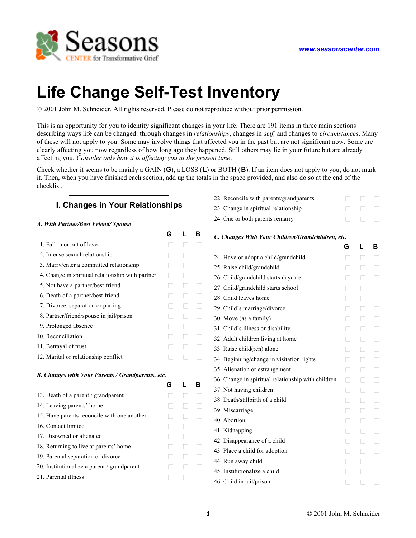# **Life Change Self-Test Inventory**

© 2001 John M. Schneider. All rights reserved. Please do not reproduce without prior permission.

This is an opportunity for you to identify significant changes in your life. There are 191 items in three main sections describing ways life can be changed: through changes in *relationships*, changes in *self,* and changes to *circumstances*. Many of these will not apply to you. Some may involve things that affected you in the past but are not significant now. Some are clearly affecting you now regardless of how long ago they happened. Still others may lie in your future but are already affecting you. *Consider only how it is affecting you at the present time*.

Check whether it seems to be mainly a GAIN (**G**), a LOSS (**L**) or BOTH (**B**). If an item does not apply to you, do not mark it. Then, when you have finished each section, add up the totals in the space provided, and also do so at the end of the checklist.

| I. Changes in Your Relationships                  |                |        |        | 22. Reconcile    |
|---------------------------------------------------|----------------|--------|--------|------------------|
|                                                   | 23. Change in  |        |        |                  |
| A. With Partner/Best Friend/Spouse                | 24. One or bot |        |        |                  |
|                                                   | G              | L      | В      | $C.$ Changes $W$ |
| 1. Fall in or out of love                         | П              | $\Box$ | $\Box$ |                  |
| 2. Intense sexual relationship                    | $\mathsf{L}$   | $\Box$ | $\Box$ | 24. Have or ad   |
| 3. Marry/enter a committed relationship           | $\Box$         | $\Box$ | $\Box$ | 25. Raise child  |
| 4. Change in spiritual relationship with partner  | П              | П      | $\Box$ | 26. Child/gran   |
| 5. Not have a partner/best friend                 | П              | $\Box$ | □      | 27. Child/gran   |
| 6. Death of a partner/best friend                 | $\Box$         | $\Box$ | $\Box$ | 28. Child leave  |
| 7. Divorce, separation or parting                 | $\Box$         | $\Box$ | $\Box$ | 29. Child's ma   |
| 8. Partner/friend/spouse in jail/prison           | П              | $\Box$ | $\Box$ | 30. Move (as a   |
| 9. Prolonged absence                              | П              | $\Box$ | $\Box$ | 31. Child's illr |
| 10. Reconciliation                                | $\Box$         | $\Box$ | $\Box$ | 32. Adult child  |
| 11. Betrayal of trust                             | П              | Ш      | $\Box$ | 33. Raise child  |
| 12. Marital or relationship conflict              | П              | $\Box$ | П      | 34. Beginning/   |
|                                                   |                |        |        | 35. Alienation   |
| B. Changes with Your Parents / Grandparents, etc. |                |        |        | 36. Change in    |
|                                                   | G              | L      | в      | 37. Not having   |
| 13. Death of a parent / grandparent               | П              | □      | $\Box$ | 38. Death/stilll |
| 14. Leaving parents' home                         | $\Box$         | $\Box$ | $\Box$ | 39. Miscarriag   |
| 15. Have parents reconcile with one another       | П              | $\Box$ | $\Box$ | 40. Abortion     |
| 16. Contact limited                               | $\Box$         | $\Box$ | $\Box$ | 41. Kidnapping   |
| 17. Disowned or alienated                         | $\Box$         | ⊔      | □      | 42. Disappeara   |
| 18. Returning to live at parents' home            | $\Box$         | □      | $\Box$ | 43. Place a chi  |
| 19. Parental separation or divorce                | $\mathsf{L}$   | П      | $\Box$ | 44. Run away     |
| 20. Institutionalize a parent / grandparent       | П              | □      | $\Box$ | 45. Institutiona |
| 21. Parental illness                              | $\mathsf{L}$   | $\Box$ | П      | 46. Child in jai |
|                                                   |                |        |        |                  |

### with parents/grandparents  $\Box$   $\Box$ 23. Spiritual relationship ■ ■ ■ ■ ■  $\Box$  **D**  $\Box$   $\Box$

#### *C. Changes With Your Children/Grandchildren, etc.*

|                                                    | G                 | L | в      |
|----------------------------------------------------|-------------------|---|--------|
| 24. Have or adopt a child/grandchild               |                   | П | П      |
| 25. Raise child/grandchild                         |                   | П | П      |
| 26. Child/grandchild starts daycare                | $\vert \ \ \vert$ | П | $\Box$ |
| 27. Child/grandchild starts school                 |                   | П | П      |
| 28. Child leaves home                              | $\mathsf{L}$      | П | П      |
| 29. Child's marriage/divorce                       |                   | П | П      |
| 30. Move (as a family)                             |                   | П | П      |
| 31. Child's illness or disability                  | $\mathbf{I}$      | П | П      |
| 32. Adult children living at home                  |                   | П | П      |
| 33. Raise child(ren) alone                         | $\mathsf{L}$      | П | П      |
| 34. Beginning/change in visitation rights          |                   | П | П      |
| 35. Alienation or estrangement                     | П                 | П | $\Box$ |
| 36. Change in spiritual relationship with children | П                 | П | $\Box$ |
| 37. Not having children                            | ГΙ                | П | П      |
| 38. Death/stillbirth of a child                    | H                 | П | П      |
| 39. Miscarriage                                    |                   | П | П      |
| 40. Abortion                                       |                   | П | П      |
| 41. Kidnapping                                     | $\mathsf{L}$      | П | П      |
| 42. Disappearance of a child                       |                   | П | П      |
| 43. Place a child for adoption                     | $\mathsf{L}$      | П | П      |
| 44. Run away child                                 |                   | П | П      |
| 45. Institutionalize a child                       |                   | П | П      |
| 46. Child in jail/prison                           |                   |   |        |
|                                                    |                   |   |        |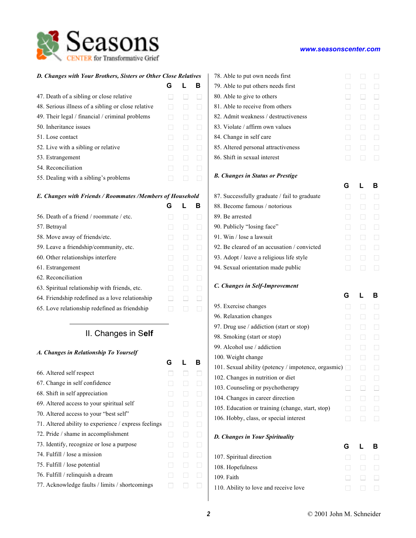| D. Changes with Your Brothers, Sisters or Other Close Relatives |              |              |   |  |
|-----------------------------------------------------------------|--------------|--------------|---|--|
|                                                                 | G            |              | в |  |
| 47. Death of a sibling or close relative                        |              |              |   |  |
| 48. Serious illness of a sibling or close relative              | $\mathbf{I}$ |              |   |  |
| 49. Their legal / financial / criminal problems                 | $\mathsf{L}$ | $\mathbf{I}$ |   |  |
| 50. Inheritance issues                                          | $\mathbf{I}$ | $\mathbf{I}$ |   |  |
| 51. Lose contact                                                | $\mathbf{I}$ | $\mathbf{I}$ |   |  |
| 52. Live with a sibling or relative                             | $\mathbf{I}$ |              |   |  |
| 53. Estrangement                                                | $\mathbf{I}$ |              |   |  |
| 54. Reconciliation                                              | $\mathbf{I}$ |              |   |  |
| 55. Dealing with a sibling's problems                           | $\mathsf{L}$ | $\mathsf{I}$ |   |  |
| F. Changes with Friends / Roommates /Members of Household       |              |              |   |  |

#### *E. Changes with Friends / Roommates /Members of Household*

|                                                 | G |  |
|-------------------------------------------------|---|--|
| 56. Death of a friend / roommate / etc.         |   |  |
| 57. Betraval                                    |   |  |
| 58. Move away of friends/etc.                   |   |  |
| 59. Leave a friendship/community, etc.          |   |  |
| 60. Other relationships interfere               |   |  |
| 61. Estrangement                                |   |  |
| 62. Reconciliation                              |   |  |
| 63. Spiritual relationship with friends, etc.   |   |  |
| 64. Friendship redefined as a love relationship |   |  |
| 65. Love relationship redefined as friendship   |   |  |
|                                                 |   |  |

### II. Changes in S**elf**

### *A. Changes in Relationship To Yourself*

|                                                      | G |              | R |
|------------------------------------------------------|---|--------------|---|
| 66. Altered self respect                             |   |              |   |
| 67. Change in self confidence                        |   |              |   |
| 68. Shift in self appreciation                       |   |              |   |
| 69. Altered access to your spiritual self            |   |              |   |
| 70. Altered access to your "best self"               |   |              |   |
| 71. Altered ability to experience / express feelings | П |              |   |
| 72. Pride / shame in accomplishment                  |   |              |   |
| 73. Identify, recognize or lose a purpose            |   | $\mathbf{I}$ |   |
| 74. Fulfill / lose a mission                         |   |              |   |
| 75. Fulfill / lose potential                         |   |              |   |
| 76. Fulfill / relinquish a dream                     |   |              |   |
| 77. Acknowledge faults / limits / shortcomings       |   |              |   |
|                                                      |   |              |   |

| 78. Able to put own needs first<br>79. Able to put others needs first<br>80. Able to give to others<br>81. Able to receive from others<br>82. Admit weakness / destructiveness<br>83. Violate / affirm own values<br>84. Change in self care<br>85. Altered personal attractiveness                                                                                          | $\mathsf{L}$<br>$\mathsf{L}$<br>$\mathsf{L}$<br>$\mathsf{L}$ | $\mathsf{L}$<br>$\mathsf{L}$<br>$\mathsf{L}$<br>$\Box$<br>$\Box$<br>$\Box$<br>$\Box$ | $\Box$<br>$\Box$<br>ΓЦ<br>$\Box$<br>$\Box$<br>$\Box$<br>□<br>□ |
|------------------------------------------------------------------------------------------------------------------------------------------------------------------------------------------------------------------------------------------------------------------------------------------------------------------------------------------------------------------------------|--------------------------------------------------------------|--------------------------------------------------------------------------------------|----------------------------------------------------------------|
| 86. Shift in sexual interest                                                                                                                                                                                                                                                                                                                                                 | $\Box$                                                       | П                                                                                    | $\Box$                                                         |
| <b>B. Changes in Status or Prestige</b>                                                                                                                                                                                                                                                                                                                                      | G                                                            | L                                                                                    | в                                                              |
| 87. Successfully graduate / fail to graduate                                                                                                                                                                                                                                                                                                                                 | $\mathsf{L}$                                                 | П                                                                                    | $\mathsf{L}$                                                   |
| 88. Become famous / notorious                                                                                                                                                                                                                                                                                                                                                |                                                              | П                                                                                    | $\Box$                                                         |
| 89. Be arrested                                                                                                                                                                                                                                                                                                                                                              |                                                              | $\Box$                                                                               | ⊓                                                              |
| 90. Publicly "losing face"                                                                                                                                                                                                                                                                                                                                                   |                                                              | П                                                                                    | □                                                              |
| 91. Win / lose a lawsuit                                                                                                                                                                                                                                                                                                                                                     |                                                              | П                                                                                    | $\Box$                                                         |
| 92. Be cleared of an accusation / convicted                                                                                                                                                                                                                                                                                                                                  |                                                              | П                                                                                    | $\Box$                                                         |
| 93. Adopt / leave a religious life style                                                                                                                                                                                                                                                                                                                                     | $\mathsf{L}$                                                 | $\Box$                                                                               | $\Box$                                                         |
| 94. Sexual orientation made public                                                                                                                                                                                                                                                                                                                                           | $\mathsf{L}$                                                 | П                                                                                    | $\Box$                                                         |
|                                                                                                                                                                                                                                                                                                                                                                              |                                                              |                                                                                      |                                                                |
| C. Changes in Self-Improvement                                                                                                                                                                                                                                                                                                                                               |                                                              |                                                                                      |                                                                |
|                                                                                                                                                                                                                                                                                                                                                                              | G                                                            | L                                                                                    | в                                                              |
|                                                                                                                                                                                                                                                                                                                                                                              | П                                                            | П                                                                                    | П                                                              |
|                                                                                                                                                                                                                                                                                                                                                                              |                                                              | П                                                                                    | П                                                              |
|                                                                                                                                                                                                                                                                                                                                                                              | $\mathsf{L}$                                                 | П                                                                                    | П                                                              |
|                                                                                                                                                                                                                                                                                                                                                                              | П                                                            | П                                                                                    | П                                                              |
| 95. Exercise changes<br>96. Relaxation changes<br>97. Drug use / addiction (start or stop)<br>98. Smoking (start or stop)<br>99. Alcohol use / addiction                                                                                                                                                                                                                     | П                                                            | П                                                                                    | П                                                              |
| 100. Weight change                                                                                                                                                                                                                                                                                                                                                           | П                                                            | П                                                                                    | П                                                              |
|                                                                                                                                                                                                                                                                                                                                                                              |                                                              | П                                                                                    | $\Box$                                                         |
| 102. Changes in nutrition or diet                                                                                                                                                                                                                                                                                                                                            | $\mathbf{I}$                                                 | П                                                                                    | $\sqcup$                                                       |
|                                                                                                                                                                                                                                                                                                                                                                              |                                                              |                                                                                      | $\Box$                                                         |
|                                                                                                                                                                                                                                                                                                                                                                              |                                                              | n                                                                                    | $\Box$                                                         |
|                                                                                                                                                                                                                                                                                                                                                                              | $\mathsf{L}$                                                 | ┐                                                                                    | $\Box$                                                         |
|                                                                                                                                                                                                                                                                                                                                                                              | $\mathsf{L}$                                                 | $\mathsf{L}$                                                                         | $\Box$                                                         |
|                                                                                                                                                                                                                                                                                                                                                                              |                                                              |                                                                                      |                                                                |
|                                                                                                                                                                                                                                                                                                                                                                              | G                                                            |                                                                                      | в                                                              |
|                                                                                                                                                                                                                                                                                                                                                                              | П                                                            | $\mathsf{I}$                                                                         | П                                                              |
|                                                                                                                                                                                                                                                                                                                                                                              |                                                              | П                                                                                    | $\mathsf{L}$                                                   |
| 101. Sexual ability (potency / impotence, orgasmic) □<br>103. Counseling or psychotherapy<br>104. Changes in career direction<br>105. Education or training (change, start, stop)<br>106. Hobby, class, or special interest<br><b>D. Changes in Your Spirituality</b><br>107. Spiritual direction<br>108. Hopefulness<br>109. Faith<br>110. Ability to love and receive love |                                                              | $\mathbf{I}$                                                                         | $\vert \ \ \vert$<br>$\Box$                                    |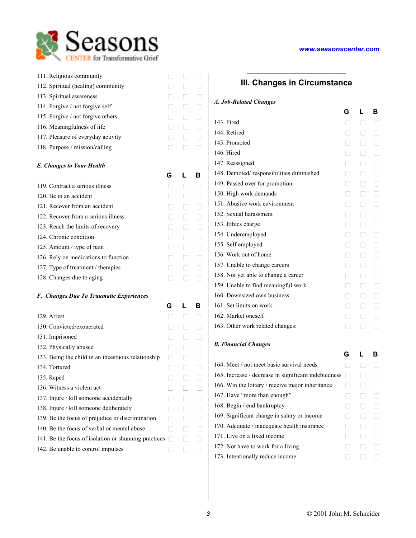| 111. Religious community                                                                    | $\Box$       | ⊔              | Π            |
|---------------------------------------------------------------------------------------------|--------------|----------------|--------------|
| 112. Spiritual (healing) community                                                          | П            | □              | П            |
| 113. Spiritual awareness                                                                    | П            | $\Box$         | $\Box$       |
| 114. Forgive / not forgive self                                                             | П            | □              | $\Box$       |
| 115. Forgive / not forgive others                                                           | П            | $\Box$         | П            |
| 116. Meaningfulness of life                                                                 | $\mathsf{L}$ | □              | $\Box$       |
| 117. Pleasure of everyday activity                                                          | П            | $\Box$         | $\Box$       |
| 118. Purpose / mission/calling                                                              | П            | □              | П            |
|                                                                                             |              |                |              |
| <b>E. Changes to Your Health</b>                                                            |              |                |              |
|                                                                                             | G            | L              | в            |
| 119. Contract a serious illness                                                             | П            | П              | П            |
| 120. Be in an accident                                                                      | П            | П              | П            |
| 121. Recover from an accident                                                               | $\mathsf{L}$ | $\Box$         | П            |
| 122. Recover from a serious illness                                                         | $\mathsf{L}$ | □              | $\Box$       |
| 123. Reach the limits of recovery                                                           | П            | $\Box$         | $\Box$       |
| 124. Chronic condition                                                                      | П            | $\Box$         | $\Box$       |
| 125. Amount / type of pain                                                                  | П            | $\Box$         | П            |
| 126. Rely on medications to function                                                        | $\mathsf{L}$ | ⊔              | $\Box$       |
| 127. Type of treatment / therapies                                                          | $\Box$       | $\Box$         | $\Box$       |
| 128. Changes due to aging                                                                   | П            | □              | $\Box$       |
| <b>F. Changes Due To Traumatic Experiences</b>                                              |              |                |              |
|                                                                                             | G            | L              | в            |
| 129. Arrest                                                                                 | П            | □              | $\Box$       |
| 130. Convicted/exonerated                                                                   | П            | $\Box$         | П            |
| 131. Imprisoned                                                                             | П            | $\Box$         | П            |
| 132. Physically abused                                                                      | $\Box$       | ⊔              | $\Box$       |
| 133. Being the child in an incestuous relationship                                          | □            | □              | $\Box$       |
| 134. Tortured                                                                               | ⊔            | $\Box$         | $\sqcup$     |
| 135. Raped                                                                                  | $\Box$       | $\Box$         | $\mathsf{L}$ |
| 136. Witness a violent act                                                                  | $\mathsf{L}$ | $\mathsf{L}$   |              |
| 137. Injure / kill someone accidentally                                                     | $\mathsf{L}$ | $\blacksquare$ |              |
|                                                                                             | $\mathsf{L}$ | $\mathsf{I}$   | $\mathsf{L}$ |
| 138. Injure / kill someone deliberately<br>139. Be the focus of prejudice or discrimination | $\mathsf{L}$ | $\Box$         | $\mathsf{L}$ |
| 140. Be the focus of verbal or mental abuse                                                 | П            | $\blacksquare$ | $\mathsf{L}$ |
|                                                                                             |              | $\Box$         |              |
| 141. Be the focus of isolation or shunning practices $\Box$                                 |              |                |              |
| 142. Be unable to control impulses                                                          | ⊔            | ⊔              | $\Box$       |

### **III. Changes in Circumstance**

### *A. Job-Related Changes*

|                                          | G              | L            | в |
|------------------------------------------|----------------|--------------|---|
| 143. Fired                               |                | ГІ           |   |
| 144. Retired                             |                | П            |   |
| 145. Promoted                            | П              | П            |   |
| 146. Hired                               |                | П            |   |
| 147. Reassigned                          |                | П            |   |
| 148. Demoted/responsibilities diminished |                | П            |   |
| 149. Passed over for promotion           | П              | П            |   |
| 150. High work demands                   |                | П            |   |
| 151. Abusive work environment            |                | П            |   |
| 152. Sexual harassment                   | П              | П            |   |
| 153. Ethics charge                       |                | П            |   |
| 154. Underemployed                       |                | $\mathsf{I}$ |   |
| 155. Self employed                       | П              | П            |   |
| 156. Work out of home                    |                | П            |   |
| 157. Unable to change careers            | П              | П            |   |
| 158. Not yet able to change a career     |                | П            |   |
| 159. Unable to find meaningful work      | $\blacksquare$ | П            |   |
| 160. Downsized own business              |                | П            |   |
| 161. Set limits on work                  |                |              |   |
| 162. Market oneself                      | П              | П            |   |
| 163. Other work related changes:         |                |              |   |

### *B. Financial Changes*

| 164. Meet / not meet basic survival needs            |   |  |
|------------------------------------------------------|---|--|
| 165. Increase / decrease in significant indebtedness |   |  |
| 166. Win the lottery / receive major inheritance     | L |  |
| 167. Have "more than enough"                         |   |  |
| 168. Begin / end bankruptcy                          | L |  |
| 169. Significant change in salary or income          |   |  |
| 170. Adequate / inadequate health insurance          |   |  |
| 171. Live on a fixed income                          |   |  |
| 172. Not have to work for a living                   |   |  |
| 173. Intentionally reduce income                     |   |  |